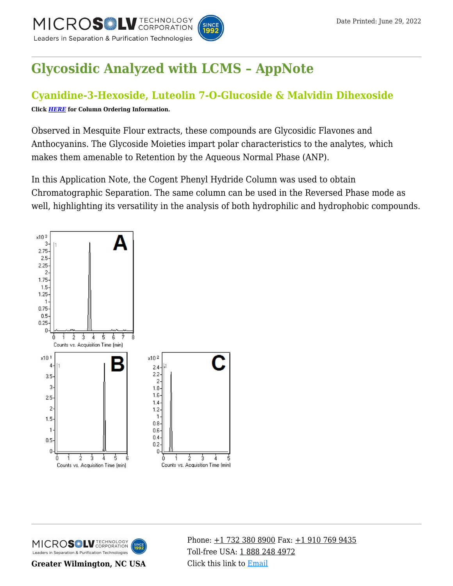

# **[Glycosidic Analyzed with LCMS – AppNote](https://kb.mtc-usa.com/article/aa-03189/63/)**

# **Cyanidine-3-Hexoside, Luteolin 7-O-Glucoside & Malvidin Dihexoside**

**Click** *[HERE](https://www.mtc-usa.com/Category/ID/241)* **for Column Ordering Information.**

Observed in Mesquite Flour extracts, these compounds are Glycosidic Flavones and Anthocyanins. The Glycoside Moieties impart polar characteristics to the analytes, which makes them amenable to Retention by the Aqueous Normal Phase (ANP).

In this Application Note, the Cogent Phenyl Hydride Column was used to obtain Chromatographic Separation. The same column can be used in the Reversed Phase mode as well, highlighting its versatility in the analysis of both hydrophilic and hydrophobic compounds.





**Greater Wilmington, NC USA**

Phone:  $\pm$ 1 732 380 8900 Fax:  $\pm$ 1 910 769 9435 Toll-free USA: [1 888 248 4972](#page--1-0) Click this link to [Email](https://www.mtc-usa.com/contact)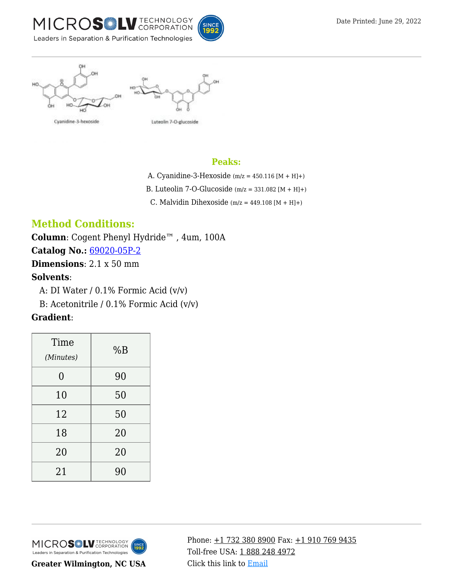



#### Cyanidine-3-hexoside



#### **Peaks:**

- A. Cyanidine-3-Hexoside ( $m/z = 450.116$  [M + H]+)
- B. Luteolin 7-O-Glucoside  $(m/z = 331.082 [M + H]+)$ 
	- C. Malvidin Dihexoside (m/z =  $449.108$  [M + H]+)

# **Method Conditions:**

**Column**: Cogent Phenyl Hydride™ , 4um, 100A **Catalog No.:** [69020-05P-2](https://www.mtc-usa.com/product-details/id/4115599) **Dimensions**: 2.1 x 50 mm

## **Solvents**:

A: DI Water  $/$  0.1% Formic Acid (v/v)

—B: Acetonitrile / 0.1% Formic Acid (v/v)

## **Gradient**:

| Time<br>(Minutes) | %B |
|-------------------|----|
| 0                 | 90 |
| 10                | 50 |
| 12                | 50 |
| 18                | 20 |
| 20                | 20 |
| 21                | 90 |



**Greater Wilmington, NC USA**

Phone:  $\pm$ 1 732 380 8900 Fax:  $\pm$ 1 910 769 9435 Toll-free USA: [1 888 248 4972](#page--1-0) Click this link to [Email](https://www.mtc-usa.com/contact)